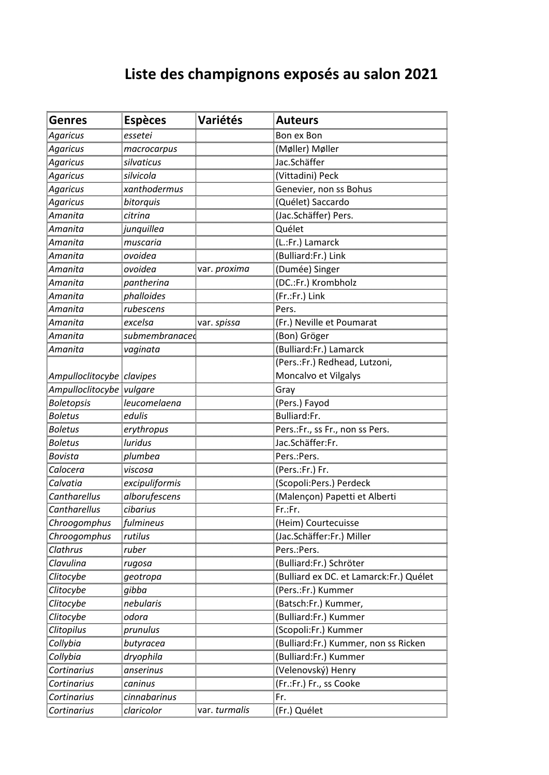## **Liste des champignons exposés au salon 2021**

| <b>Genres</b>             | <b>Espèces</b>   | Variétés            | <b>Auteurs</b>                          |
|---------------------------|------------------|---------------------|-----------------------------------------|
| <b>Agaricus</b>           | essetei          |                     | Bon ex Bon                              |
| <b>Agaricus</b>           | macrocarpus<br>  |                     | <u>(Møller) Møller</u>                  |
| Agaricus                  | silvaticus       |                     | Jac.Schäffer                            |
| Agaricus                  | silvicola        |                     | (Vittadini) Peck                        |
| Agaricus                  | xanthodermus     |                     | Genevier, non ss Bohus                  |
| Agaricus                  | bitorquis        |                     | (Quélet) Saccardo                       |
| Amanita                   | citrina          |                     | (Jac.Schäffer) Pers.                    |
| Amanita                   | junquillea       |                     | Quélet                                  |
| Amanita                   | muscaria         |                     | (L.:Fr.) Lamarck                        |
| Amanita                   | ovoidea          |                     | (Bulliard:Fr.) Link                     |
| <u>Amanita</u>            | ovoidea          | var. <i>proxima</i> | (Dumée) Singer                          |
| Amanita                   | pantherina       |                     | (DC.:Fr.) Krombholz                     |
| Amanita                   | phalloides       |                     | (Fr.:Fr.) Link                          |
| Amanita                   | <u>rubescens</u> |                     | <b>Pers</b>                             |
| <u>Amanita</u>            | excelsa          | var. spissa         | (Fr.) Neville et Poumarat               |
| Amanita                   | submembranaced   |                     | (Bon) Gröger                            |
| Amanita                   | vaginata         |                     | (Bulliard:Fr.) Lamarck                  |
|                           |                  |                     | (Pers.:Fr.) Redhead, Lutzoni,           |
| Ampulloclitocybe clavipes |                  |                     | Moncalvo et Vilgalys                    |
| Ampulloclitocybe vulgare  |                  |                     | Gray                                    |
| <u>Boletopsis</u>         | leucomelaena     |                     | (Pers.) Fayod                           |
| <b>Boletus</b>            | edulis           |                     | Bulliard:Fr.                            |
| <b>Boletus</b>            | erythropus       |                     | Pers.:Fr., ss Fr., non ss Pers.         |
| <b>Boletus</b>            | luridus          |                     | Jac.Schäffer:Fr.                        |
| Bovista                   | plumbea          |                     | Pers.: Pers.                            |
| Calocera                  | viscosa          |                     | (Pers.:Fr.) Fr.                         |
| Calvatia                  | excipuliformis   |                     | (Scopoli: Pers.) Perdeck                |
| <b>Cantharellus</b>       | alborufescens    |                     | (Malençon) Papetti et Alberti           |
| Cantharellus              | cibarius         |                     | Fr.:Fr.                                 |
| <u>Chroogomphus</u>       | fulmineus<br>    |                     | <u>(Heim) Courtecuisse</u>              |
| Chroogomphus              | rutilus          |                     | (Jac.Schäffer:Fr.) Miller               |
| Clathrus                  | ruber            |                     | Pers.:Pers.                             |
| <u>Clavulina</u>          | rugosa           |                     | (Bulliard:Fr.) Schröter                 |
| <u>Clitocybe</u>          | geotropa         |                     | (Bulliard ex DC. et Lamarck:Fr.) Quélet |
| <u>Clitocybe</u>          | gibba            |                     | (Pers.:Fr.) Kummer                      |
| Clitocybe                 | nebularis        |                     | (Batsch:Fr.) Kummer,                    |
| Clitocybe                 | odora            |                     | (Bulliard:Fr.) Kummer                   |
| <b>Clitopilus</b>         | prunulus         |                     | (Scopoli:Fr.) Kummer                    |
| Collybia                  | butyracea        |                     | (Bulliard:Fr.) Kummer, non ss Ricken    |
| <u>Collybia</u>           | dryophila        |                     | (Bulliard:Fr.) Kummer                   |
| Cortinarius               | anserinus        |                     | (Velenovský) Henry                      |
| Cortinarius               | canınus          |                     | (Fr.:Fr.) Fr., ss Cooke                 |
| Cortinarius               | cinnabarinus     |                     | Fr.                                     |
| Cortinarius               | claricolor       | var. turmalis       | (Fr.) Quélet                            |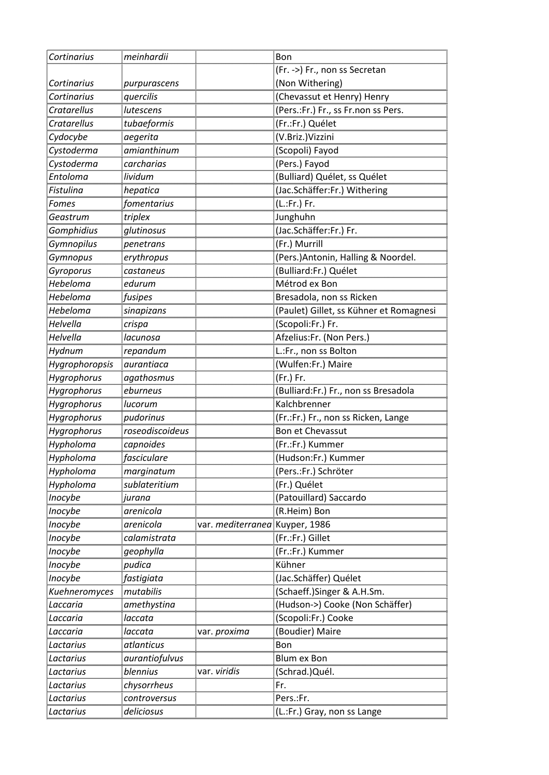| Cortinarius           | meinhardii                   |                          | Bon                                                                      |
|-----------------------|------------------------------|--------------------------|--------------------------------------------------------------------------|
|                       |                              |                          | (Fr. ->) Fr., non ss Secretan                                            |
| Cortinarius           | purpurascens                 |                          | (Non Withering)                                                          |
| Cortinarius           | quercilis                    |                          | (Chevassut et Henry) Henry                                               |
| <b>Cratarellus</b>    | lutescens                    |                          | (Pers.:Fr.) Fr., ss Fr.non ss Pers.                                      |
| Cratarellus           | tubaeformis                  |                          | (Fr.:Fr.) Quélet                                                         |
| Cydocybe              | aegerita                     |                          | (V.Briz.)Vizzini                                                         |
| Cystoderma            | amianthinum                  |                          | (Scopoli) Fayod                                                          |
| Cystoderma            | <u>carcharias</u>            |                          | (Pers.) Fayod                                                            |
|                       |                              |                          | (Bulliard) Quélet, ss Quélet                                             |
| Entoloma<br>Fistulina | lividum<br>hepatica          |                          | (Jac.Schäffer:Fr.) Withering                                             |
| Fomes<br>             | fomentarius                  |                          | (L.:Fr.) Fr.                                                             |
| Geastrum              | triplex                      |                          | Junghuhn                                                                 |
| Gomphidius            | glutinosus                   |                          |                                                                          |
| Gymnopilus            | <i>penetrans</i>             |                          | (Fr.) Murrill                                                            |
| <u>Gymnopus</u>       | erythropus                   |                          | (Pers.)Antonin, Halling & Noordel                                        |
| <b>Gyroporus</b>      | <u>castaneus</u>             |                          | (Bulliard:Fr.) Quélet                                                    |
| Hebeloma              | edurum                       |                          | Métrod ex Bon                                                            |
| Hebeloma              | fusipes                      |                          | Bresadola, non ss Ricken                                                 |
| <u>Hebeloma</u>       | <u>sinapizans</u>            |                          | (Paulet) Gillet, ss Kühner et Romagnesi                                  |
| <u>Helvella</u>       | crispa                       |                          | (Scopoli:Fr.) Fr.                                                        |
| Helvella              | lacunosa                     |                          | Afzelius:Fr. (Non Pers.)                                                 |
| Hydnum                | repandum                     |                          | L.:Fr., non ss Bolton                                                    |
| Hygrophoropsis        | aurantiaca                   |                          | (Wulfen:Fr.) Maire                                                       |
| <b>Hygrophorus</b>    | agathosmus                   |                          | (Fr.) Fr.                                                                |
| Hygrophorus           | eburneus                     |                          | (Bulliard:Fr.) Fr., non ss Bresadola                                     |
| Hygrophorus           | lucorum                      |                          | Kalchbrenner                                                             |
| Hygrophorus           | pudorinus                    |                          | (Fr.:Fr.) Fr., non ss Ricken, Lange                                      |
| <b>Hygrophorus</b>    | roseodiscoideus<br>capnoides |                          | Bon et Chevassut<br>(Fr.:Fr.) Kummer                                     |
| Hypholoma             |                              |                          |                                                                          |
| Hypholoma             | fasciculare                  |                          | (Hudson:Fr.) Kummer                                                      |
| Hypholoma             | marginatum                   |                          | (Pers.:Fr.) Schröter                                                     |
| Hypholoma             | sublateritium                |                          | (Fr.) Quélet                                                             |
| Inocybe               | iurana                       |                          | (Patouillard) Saccardo                                                   |
| <b>Inocybe</b>        | arenicola                    |                          | <u>(R.Heim) Bon</u>                                                      |
| <u>Inocybe</u>        | <u>arenicola</u>             | var. <i>mediterranec</i> | <b>Kuyper, 1986</b>                                                      |
| <b>Inocybe</b>        | calamistrata                 |                          | (Fr.:Fr.) Gillet                                                         |
| <b>Inocybe</b>        | geophylla                    |                          | (Fr.:Fr.) Kummer                                                         |
| <b>Inocybe</b>        | pudica                       |                          | Kühner                                                                   |
| <u>Inocybe</u>        | fastigiata                   |                          | (Jac.Schäffer) Quélet                                                    |
| <u>Kuehneromyces</u>  | <u>mutabilis</u>             |                          | <u>(Schaeff.)Singer &amp; A.H.Sm.</u><br>(Hudson->) Cooke (Non Schäffer) |
| Laccaria              | amethystina                  |                          |                                                                          |
| .accaria              | laccata                      |                          | (Scopoli:Fr.) Cooke                                                      |
| .accaria              | laccata                      | var. <i>proxima</i>      | (Boudier) Maire                                                          |
| Lactarius             | atlanticus                   |                          | Bon                                                                      |
| Lactarius             | aurantiofulvus               |                          | Blum ex Bon                                                              |
| .actarius             | blennius                     | var. <i>vīrīdīs</i>      | (Schrad.)Quél.                                                           |
| .actarius             | chysorrheus                  |                          | Fr.                                                                      |
| .actarius             | controversus                 |                          | Pers.:Fr.                                                                |
| Lactarius             | deliciosus                   |                          | (L.:Fr.) Gray, non ss Lange                                              |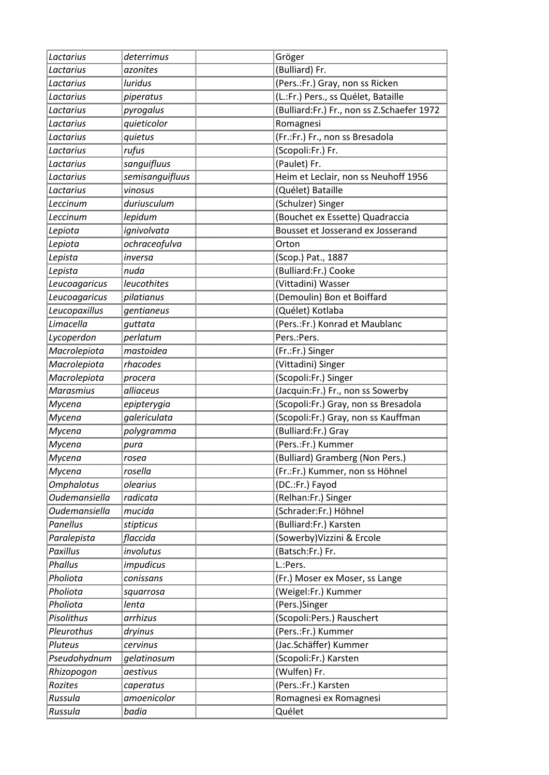| Lactarius            | deterrimus                 | Gröger                                     |
|----------------------|----------------------------|--------------------------------------------|
| <u>Lactarius</u>     | azonites                   | (Bulliard) Fr.                             |
| Lactarius            | luridus                    | (Pers.:Fr.) Gray, non ss Ricken            |
| Lactarius            | <i>piperatus</i>           | (L.:Fr.) Pers., ss Quélet, Bataille        |
| <u>Lactarius</u>     | <u>pyrogalus</u>           | (Bulliard:Fr.) Fr., non ss Z.Schaefer 1972 |
| Lactarius            | quieticolor                | Romagnesi                                  |
| Lactarius            | quietus                    | (Fr.:Fr.) Fr., non ss Bresadola            |
| <u>Lactarius</u>     | <u>rufus</u>               | <u>(Scopoli:Fr.) Fr.</u>                   |
| <u>Lactarius</u>     | sanguifluus<br>sanguifluus | (Paulet) Fr.                               |
| <u>Lactarius</u>     | <u>semisanguifluus</u>     | Heim et Leclair, non ss Neuhoff 1956       |
| Lactarius            | <u>vinosus</u>             | (Quélet) Bataille                          |
| <u>Leccinum</u>      | duriusculum                | (Schulzer) Singer                          |
| Leccinum             |                            | (Bouchet ex Essette) Quadraccia            |
| <br>Lepiota          | ignivolvata                | Bousset et Josserand ex Josserand          |
| Lepiota              | ochraceofulva              | Orton                                      |
| Lepista              | inversa<br>                | (Scop.) Pat., 1887                         |
| Lepista              | nuda                       | (Bulliard:Fr.) Cooke                       |
| Leucoagaricus        | leucothites                | (Vittadini) Wasser                         |
| Leucoagaricus        | pilatianus                 | (Demoulin) Bon et Boiffard                 |
| Leucopaxillus        | <u>gentianeus</u>          | <u>(Quélet) Kotlaba</u>                    |
| <u>Limacella</u>     | guttata                    | (Pers.:Fr.) Konrad et Maublanc             |
| Lycoperdon           | perlatum                   | Pers.: Pers.                               |
| Macrolepiota         | mastoidea                  | (Fr.:Fr.) Singer                           |
| Macrolepiota         | rhacodes                   | (Vittadini) Singer                         |
| <i>Macrolepiota</i>  | procera                    | (Scopoli:Fr.) Singer                       |
| <b>Marasmius</b>     | alliaceus                  | (Jacquin:Fr.) Fr., non ss Sowerby          |
| Mycena               | epipterygia                | (Scopoli:Fr.) Gray, non ss Bresadola       |
| Mycena               | galericulata               | (Scopoli:Fr.) Gray, non ss Kauffman        |
| Mycena               | polygramma                 | (Bulliard:Fr.) Gray                        |
| Mycena               | pura                       | (Pers.:Fr.) Kummer                         |
| Mycena               | rosea                      | (Bulliard) Gramberg (Non Pers.)            |
| Mycena               | rosella                    | (Fr.:Fr.) Kummer, non ss Höhnel            |
| <u>Omphalotus</u>    | olearius                   | (DC.:Fr.) Fayod                            |
| Oudemansiella        | radicata                   | (Relhan:Fr.) Singer                        |
| <u>Oudemansiella</u> | mucida                     | <u>(Schrader:Fr.) Höhnel</u>               |
| Panellus             | stipticus                  | (Bulliard:Fr.) Karsten                     |
| Paralepista          |                            | (Sowerby)Vizzini & Ercole                  |
| Paxillus             | involutus                  | (Batsch:Fr.) Fr.                           |
| <u>Phallus</u>       | <u>impudicus</u>           | L.:Pers                                    |
| <u>Pholiota</u>      | conissans                  | (Fr.) Moser ex Moser, ss Lange             |
| <u>Pholiota</u>      | squarrosa                  |                                            |
| Pholiota             | lenta                      | (Pers.)Singer                              |
| Pisolithus           | arrhizus                   | (Scopoli:Pers.) Rauschert                  |
| Pleurothus           | dryinus<br>.               | (Pers.:Fr.) Kummer                         |
| Pluteus              | cervinus                   | (Jac.Schäffer) Kummer                      |
| Pseudohydnum         | gelatinosum                | (Scopoli:Fr.) Karsten                      |
| Rhizopogon           | aestivus                   | (Wulfen) Fr.                               |
| Rozites              | <u>caperatus</u>           | (Pers.:Fr.) Karsten                        |
| Russula              | amoenicolor                | Romagnesi ex Romagnesi                     |
| Russula              | badia                      | Quélet                                     |